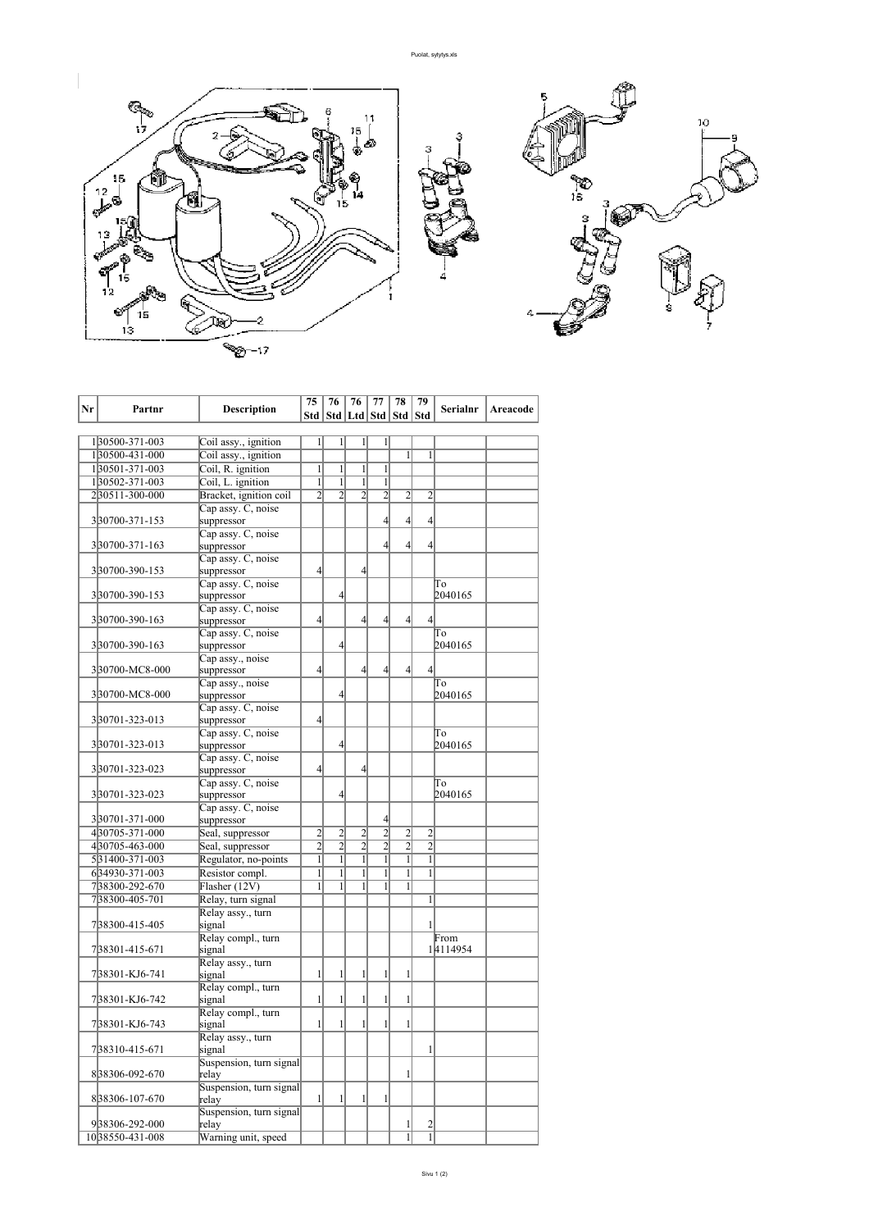

| Nr | Partnr          | Description                      | 75             | 76<br>Std   Std   Ltd   Std   Std   Std | 76             | 77             | 78             | 79             | Serialnr | Areacode |
|----|-----------------|----------------------------------|----------------|-----------------------------------------|----------------|----------------|----------------|----------------|----------|----------|
|    |                 |                                  |                |                                         |                |                |                |                |          |          |
|    | 130500-371-003  | Coil assy., ignition             | $\mathbf{1}$   | $\mathbf{1}$                            | 1              | $\mathbf{1}$   |                |                |          |          |
|    | 130500-431-000  | Coil assy., ignition             |                |                                         |                |                | $\mathbf{1}$   | 1              |          |          |
|    | 130501-371-003  | Coil, R. ignition                | $\mathbf{1}$   | $\mathbf{1}$                            | $\mathbf{1}$   | $\mathbf{1}$   |                |                |          |          |
|    | 130502-371-003  | Coil, L. ignition                | $\mathbf{1}$   | $\mathbf{1}$                            | 1              | $\mathbf{1}$   |                |                |          |          |
|    | 230511-300-000  | Bracket, ignition coil           | $\overline{c}$ | $\overline{2}$                          | $\overline{2}$ | $\overline{2}$ | $\overline{c}$ | $\overline{2}$ |          |          |
|    |                 | Cap assy. C, noise               |                |                                         |                |                |                |                |          |          |
|    | 330700-371-153  | suppressor                       |                |                                         |                | $\overline{4}$ | 4              | $\overline{4}$ |          |          |
|    |                 | Cap assy. C, noise               |                |                                         |                |                |                |                |          |          |
|    | 330700-371-163  | suppressor                       |                |                                         |                | $\overline{4}$ | $\overline{4}$ | $\overline{4}$ |          |          |
|    |                 | Cap assy. C, noise               | $\overline{4}$ |                                         | 4              |                |                |                |          |          |
|    | 330700-390-153  | suppressor                       |                |                                         |                |                |                |                | To       |          |
|    | 330700-390-153  | Cap assy. C, noise<br>suppressor |                | $\overline{4}$                          |                |                |                |                | 2040165  |          |
|    |                 | Cap assy. C, noise               |                |                                         |                |                |                |                |          |          |
|    | 330700-390-163  | suppressor                       | $\overline{4}$ |                                         | $\overline{4}$ | $\overline{4}$ | $\overline{4}$ | $\overline{4}$ |          |          |
|    |                 | Cap assy. C, noise               |                |                                         |                |                |                |                | To       |          |
|    | 330700-390-163  | suppressor                       |                | $\overline{4}$                          |                |                |                |                | 2040165  |          |
|    |                 | Cap assy., noise                 |                |                                         |                |                |                |                |          |          |
|    | 330700-MC8-000  | suppressor                       | $\overline{4}$ |                                         | $\overline{4}$ | $\overline{4}$ | $\overline{4}$ | $\overline{4}$ |          |          |
|    |                 | Cap assy., noise                 |                |                                         |                |                |                |                | To       |          |
|    | 330700-MC8-000  | suppressor                       |                | $\overline{4}$                          |                |                |                |                | 2040165  |          |
|    |                 | Cap assy. C, noise               |                |                                         |                |                |                |                |          |          |
|    | 330701-323-013  | suppressor                       | $\overline{4}$ |                                         |                |                |                |                |          |          |
|    |                 | Cap assy. C, noise               |                |                                         |                |                |                |                | To       |          |
|    | 330701-323-013  | suppressor                       |                | $\overline{4}$                          |                |                |                |                | 2040165  |          |
|    |                 | Cap assy. C, noise               |                |                                         |                |                |                |                |          |          |
|    | 330701-323-023  | suppressor                       | $\overline{4}$ |                                         | $\overline{4}$ |                |                |                |          |          |
|    | 330701-323-023  | Cap assy. C, noise               |                | $\overline{4}$                          |                |                |                |                | To       |          |
|    |                 | suppressor                       |                |                                         |                |                |                |                | 2040165  |          |
|    | 330701-371-000  | Cap assy. C, noise<br>suppressor |                |                                         |                | $\overline{4}$ |                |                |          |          |
|    | 430705-371-000  | Seal, suppressor                 | $\overline{2}$ | $\overline{2}$                          | $\overline{2}$ | $\overline{2}$ | $\overline{2}$ | $\overline{2}$ |          |          |
|    | 430705-463-000  | Seal, suppressor                 | $\overline{2}$ | $\overline{2}$                          | $\overline{2}$ | $\overline{2}$ | $\overline{2}$ | $\overline{2}$ |          |          |
|    | 531400-371-003  | Regulator, no-points             | $\overline{1}$ | $\overline{1}$                          | $\overline{1}$ | $\overline{1}$ | $\overline{1}$ | $\mathbf{1}$   |          |          |
|    | 634930-371-003  | Resistor compl.                  | 1              | $\overline{1}$                          | $\overline{1}$ | $\overline{1}$ | $\overline{1}$ | $\overline{1}$ |          |          |
|    | 738300-292-670  | Flasher (12V)                    | 1              | 1                                       | 1              | 1              | 1              |                |          |          |
|    | 738300-405-701  | Relay, turn signal               |                |                                         |                |                |                | 1              |          |          |
|    |                 | Relay assy., turn                |                |                                         |                |                |                |                |          |          |
|    | 738300-415-405  | signal                           |                |                                         |                |                |                | 1              |          |          |
|    |                 | Relay compl., turn               |                |                                         |                |                |                |                | From     |          |
|    | 738301-415-671  | signal                           |                |                                         |                |                |                |                | 14114954 |          |
|    |                 | Relay assy., turn                |                |                                         |                |                |                |                |          |          |
|    | 738301-KJ6-741  | signal                           | $\mathbf{1}$   | $\mathbf{1}$                            | $\mathbf{1}$   | $\mathbf{1}$   | $\mathbf{1}$   |                |          |          |
|    |                 | Relay compl., turn               |                |                                         |                |                |                |                |          |          |
|    | 738301-KJ6-742  | signal                           | $\mathbf{1}$   | $\mathbf{1}$                            | $\mathbf{1}$   | $\mathbf{1}$   | 1              |                |          |          |
|    |                 | Relay compl., turn               |                |                                         |                |                |                |                |          |          |
|    | 738301-KJ6-743  | signal                           | $\mathbf{1}$   | $\mathbf{1}$                            | $\mathbf{1}$   | $\mathbf{1}$   | 1              |                |          |          |
|    |                 | Relay assy., turn                |                |                                         |                |                |                |                |          |          |
|    | 738310-415-671  | signal                           |                |                                         |                |                |                | 1              |          |          |
|    |                 | Suspension, turn signal          |                |                                         |                |                |                |                |          |          |
|    | 838306-092-670  | relay                            |                |                                         |                |                | 1              |                |          |          |
|    |                 | Suspension, turn signal          |                |                                         |                |                |                |                |          |          |
|    | 838306-107-670  | relay                            | $\mathbf{1}$   | $\mathbf{1}$                            | $\mathbf{1}$   | $\mathbf{1}$   |                |                |          |          |
|    | 938306-292-000  | Suspension, turn signal<br>relay |                |                                         |                |                | 1              | $\overline{c}$ |          |          |
|    | 1038550-431-008 |                                  |                |                                         |                |                | $\mathbf{1}$   | 1              |          |          |
|    |                 | Warning unit, speed              |                |                                         |                |                |                |                |          |          |